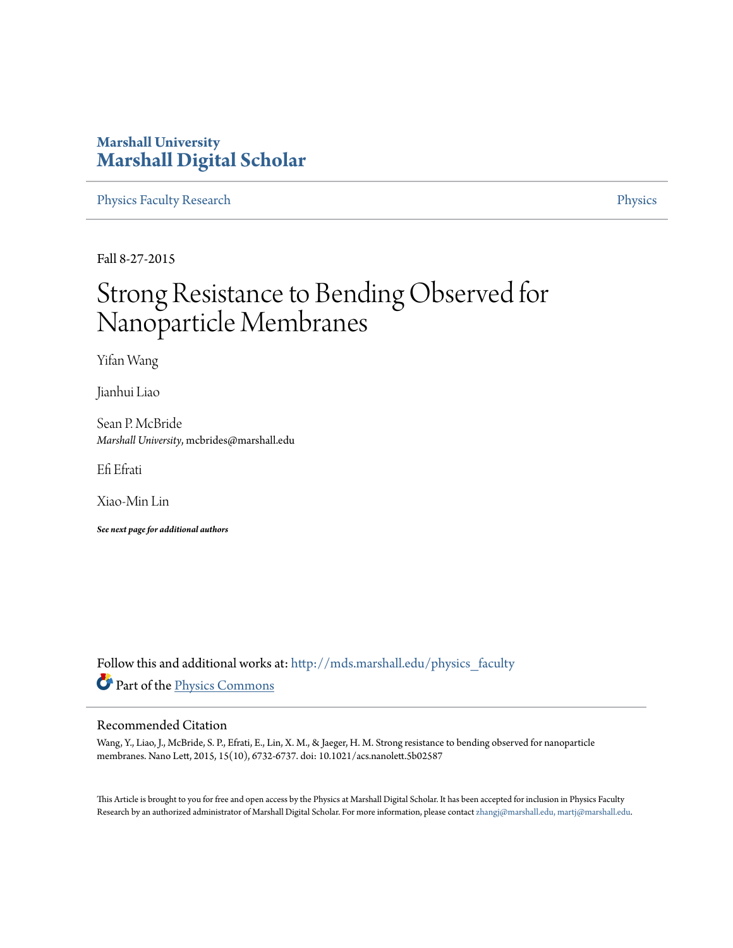### **Marshall University [Marshall Digital Scholar](http://mds.marshall.edu?utm_source=mds.marshall.edu%2Fphysics_faculty%2F51&utm_medium=PDF&utm_campaign=PDFCoverPages)**

[Physics Faculty Research](http://mds.marshall.edu/physics_faculty?utm_source=mds.marshall.edu%2Fphysics_faculty%2F51&utm_medium=PDF&utm_campaign=PDFCoverPages) **[Physics](http://mds.marshall.edu/physics?utm_source=mds.marshall.edu%2Fphysics_faculty%2F51&utm_medium=PDF&utm_campaign=PDFCoverPages)** 

Fall 8-27-2015

## Strong Resistance to Bending Observed for Nanoparticle Membranes

Yifan Wang

Jianhui Liao

Sean P. McBride *Marshall University*, mcbrides@marshall.edu

Efi Efrati

Xiao-Min Lin

*See next page for additional authors*

Follow this and additional works at: [http://mds.marshall.edu/physics\\_faculty](http://mds.marshall.edu/physics_faculty?utm_source=mds.marshall.edu%2Fphysics_faculty%2F51&utm_medium=PDF&utm_campaign=PDFCoverPages) Part of the [Physics Commons](http://network.bepress.com/hgg/discipline/193?utm_source=mds.marshall.edu%2Fphysics_faculty%2F51&utm_medium=PDF&utm_campaign=PDFCoverPages)

### Recommended Citation

Wang, Y., Liao, J., McBride, S. P., Efrati, E., Lin, X. M., & Jaeger, H. M. Strong resistance to bending observed for nanoparticle membranes. Nano Lett, 2015, 15(10), 6732-6737. doi: 10.1021/acs.nanolett.5b02587

This Article is brought to you for free and open access by the Physics at Marshall Digital Scholar. It has been accepted for inclusion in Physics Faculty Research by an authorized administrator of Marshall Digital Scholar. For more information, please contact [zhangj@marshall.edu, martj@marshall.edu.](mailto:zhangj@marshall.edu,%20martj@marshall.edu)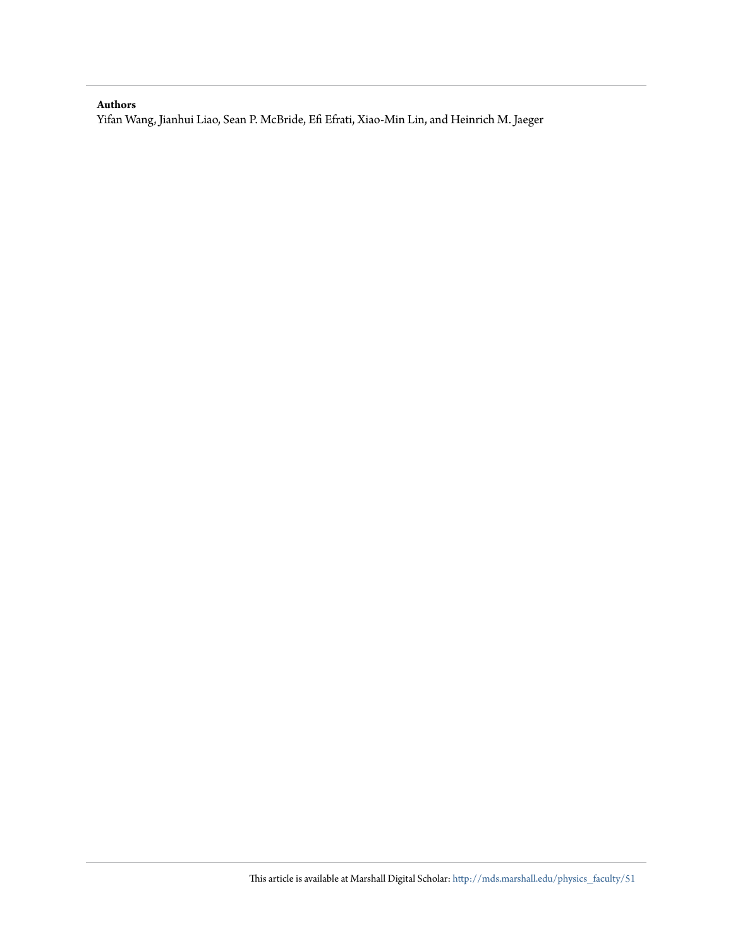### **Authors**

Yifan Wang, Jianhui Liao, Sean P. McBride, Efi Efrati, Xiao-Min Lin, and Heinrich M. Jaeger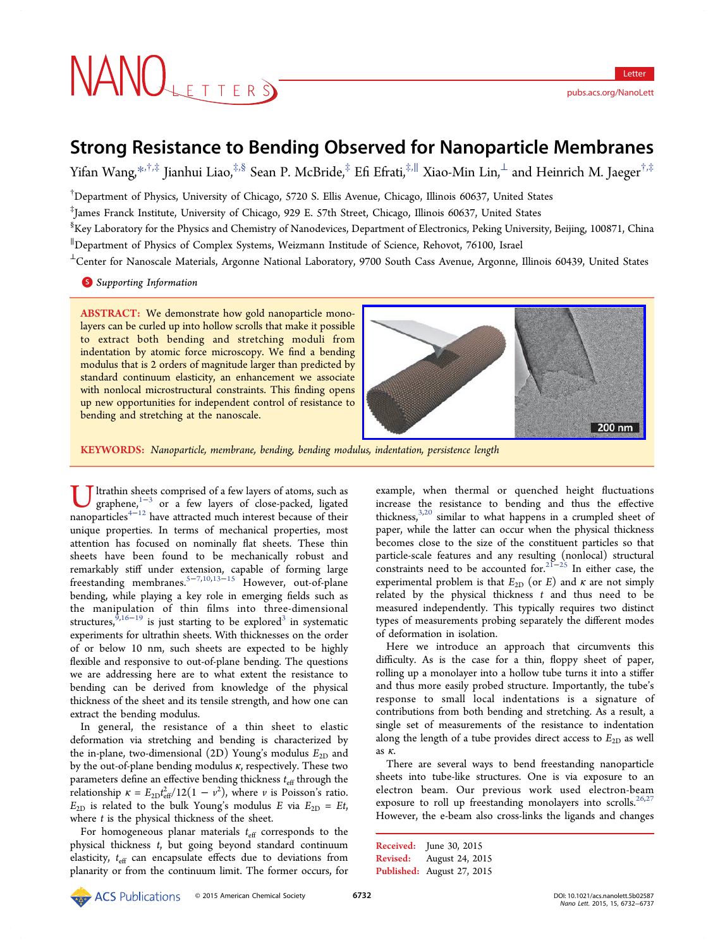# NANOLETTERS

<pubs.acs.org/NanoLett>

### Strong Resistance to Bending Observed for Nanoparticle Membranes

Yifan Wang,[\\*](#page-7-0)<sup>,†,‡</sup> Jianhui Liao,<sup>‡,§</sup> Sean P. McBride,<sup>‡</sup> Efi Efrati,<sup>‡,||</sup> Xiao-Min Lin,⊥ and Heinrich M. Jaeger<sup>†,‡</sup>

† Department of Physics, University of Chicago, 5720 S. Ellis Avenue, Chicago, Illinois 60637, United States

‡ James Franck Institute, University of Chicago, 929 E. 57th Street, Chicago, Illinois 60637, United States

 $^{\$}$ Key Laboratory for the Physics and Chemistry of Nanodevices, Department of Electronics, Peking University, Beijing, 100871, China ∥ Department of Physics of Complex Systems, Weizmann Institude of Science, Rehovot, 76100, Israel

<sup>⊥</sup>Center for Nanoscale Materials, Argonne National Laboratory, 9700 South Cass Avenue, Argonne, Illinois 60439, United States

**S** [Supporting Information](#page-6-0)

ABSTRACT: We demonstrate how gold nanoparticle monolayers can be curled up into hollow scrolls that make it possible to extract both bending and stretching moduli from indentation by atomic force microscopy. We find a bending modulus that is 2 orders of magnitude larger than predicted by standard continuum elasticity, an enhancement we associate with nonlocal microstructural constraints. This finding opens up new opportunities for independent control of resistance to bending and stretching at the nanoscale.



KEYWORDS: Nanoparticle, membrane, bending, bending modulus, indentation, persistence length

Ultrathin s[heet](#page-7-0)s comprised of a few layers of atoms, such as graphene,<sup>1−3</sup> or a few layers of close-packed, ligated proporational sheet because of their nanoparticles<sup>4−12</sup> have attracted much interest because of their unique properties. In terms of mechanical properties, most attention has focused on nominally flat sheets. These thin sheets have been found to be mechanically robust and remarkably stiff under extension, capable of forming large freestanding membranes.[5](#page-7-0)−[7](#page-7-0),[10,13](#page-7-0)−[15](#page-7-0) However, out-of-plane bending, while playing a key role in emerging fields such as the manipulation of thin films into three-dimensional structures, $9,16-19$  $9,16-19$  $9,16-19$  is just starting to be explored<sup>[3](#page-7-0)</sup> in systematic experiments for ultrathin sheets. With thicknesses on the order of or below 10 nm, such sheets are expected to be highly flexible and responsive to out-of-plane bending. The questions we are addressing here are to what extent the resistance to bending can be derived from knowledge of the physical thickness of the sheet and its tensile strength, and how one can extract the bending modulus.

In general, the resistance of a thin sheet to elastic deformation via stretching and bending is characterized by the in-plane, two-dimensional (2D) Young's modulus  $E_{2D}$  and by the out-of-plane bending modulus  $\kappa$ , respectively. These two parameters define an effective bending thickness  $t_{\text{eff}}$  through the relationship  $\kappa = E_{2D}t_{\text{eff}}^2/12(1 - v^2)$ , where v is Poisson's ratio.  $E_{2D}$  is related to the bulk Young's modulus E via  $E_{2D} = Et$ , where  $t$  is the physical thickness of the sheet.

For homogeneous planar materials  $t_{\text{eff}}$  corresponds to the physical thickness t, but going beyond standard continuum elasticity,  $t_{\text{eff}}$  can encapsulate effects due to deviations from planarity or from the continuum limit. The former occurs, for

example, when thermal or quenched height fluctuations increase the resistance to bending and thus the effective thickness, $3,20$  similar to what happens in a crumpled sheet of paper, while the latter can occur when the physical thickness becomes close to the size of the constituent particles so that particle-scale features and any resulting (nonlocal) structural constraints need to be accounted for.<sup>[21](#page-7-0)–[25](#page-7-0)</sup> In either case, the experimental problem is that  $E_{2D}$  (or E) and  $\kappa$  are not simply related by the physical thickness  $t$  and thus need to be measured independently. This typically requires two distinct types of measurements probing separately the different modes of deformation in isolation.

Here we introduce an approach that circumvents this difficulty. As is the case for a thin, floppy sheet of paper, rolling up a monolayer into a hollow tube turns it into a stiffer and thus more easily probed structure. Importantly, the tube's response to small local indentations is a signature of contributions from both bending and stretching. As a result, a single set of measurements of the resistance to indentation along the length of a tube provides direct access to  $E_{2D}$  as well as κ.

There are several ways to bend freestanding nanoparticle sheets into tube-like structures. One is via exposure to an electron beam. Our previous work used electron-beam exposure to roll up freestanding monolayers into scrolls.<sup>[26,27](#page-7-0)</sup> However, the e-beam also cross-links the ligands and changes

Received: June 30, 2015 Revised: August 24, 2015 Published: August 27, 2015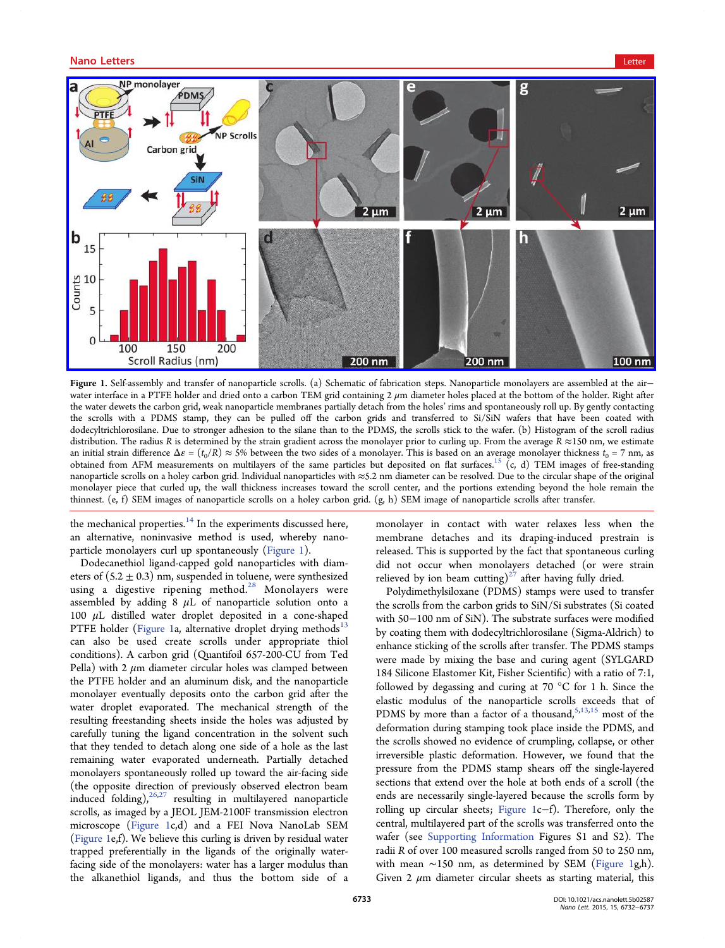

Figure 1. Self-assembly and transfer of nanoparticle scrolls. (a) Schematic of fabrication steps. Nanoparticle monolayers are assembled at the air− water interface in a PTFE holder and dried onto a carbon TEM grid containing  $2 \mu m$  diameter holes placed at the bottom of the holder. Right after the water dewets the carbon grid, weak nanoparticle membranes partially detach from the holes' rims and spontaneously roll up. By gently contacting the scrolls with a PDMS stamp, they can be pulled off the carbon grids and transferred to Si/SiN wafers that have been coated with dodecyltrichlorosilane. Due to stronger adhesion to the silane than to the PDMS, the scrolls stick to the wafer. (b) Histogram of the scroll radius distribution. The radius R is determined by the strain gradient across the monolayer prior to curling up. From the average  $R \approx 150$  nm, we estimate an initial strain difference  $\Delta \varepsilon = (t_0/R) \approx 5\%$  between the two sides of a monolayer. This is based on an average monolayer thickness  $t_0 = 7$  nm, as obtained from AFM measurements on multilayers of the same particles but deposited on flat surfaces.<sup>[15](#page-7-0)</sup> (c, d) TEM images of free-standing nanoparticle scrolls on a holey carbon grid. Individual nanoparticles with ≈5.2 nm diameter can be resolved. Due to the circular shape of the original monolayer piece that curled up, the wall thickness increases toward the scroll center, and the portions extending beyond the hole remain the thinnest. (e, f) SEM images of nanoparticle scrolls on a holey carbon grid. (g, h) SEM image of nanoparticle scrolls after transfer.

the mechanical properties. $14$  In the experiments discussed here, an alternative, noninvasive method is used, whereby nanoparticle monolayers curl up spontaneously (Figure 1).

Dodecanethiol ligand-capped gold nanoparticles with diameters of  $(5.2 \pm 0.3)$  nm, suspended in toluene, were synthesized using a digestive ripening method. $^{28}$  $^{28}$  $^{28}$  Monolayers were assembled by adding  $8 \mu L$  of nanoparticle solution onto a 100  $μ$ L distilled water droplet deposited in a cone-shaped PTFE holder (Figure 1a, alternative droplet drying methods $13$ can also be used create scrolls under appropriate thiol conditions). A carbon grid (Quantifoil 657-200-CU from Ted Pella) with 2  $\mu$ m diameter circular holes was clamped between the PTFE holder and an aluminum disk, and the nanoparticle monolayer eventually deposits onto the carbon grid after the water droplet evaporated. The mechanical strength of the resulting freestanding sheets inside the holes was adjusted by carefully tuning the ligand concentration in the solvent such that they tended to detach along one side of a hole as the last remaining water evaporated underneath. Partially detached monolayers spontaneously rolled up toward the air-facing side (the opposite direction of previously observed electron beam induced folding), $26,27$  resulting in multilayered nanoparticle scrolls, as imaged by a JEOL JEM-2100F transmission electron microscope (Figure 1c,d) and a FEI Nova NanoLab SEM (Figure 1e,f). We believe this curling is driven by residual water trapped preferentially in the ligands of the originally waterfacing side of the monolayers: water has a larger modulus than the alkanethiol ligands, and thus the bottom side of a

monolayer in contact with water relaxes less when the membrane detaches and its draping-induced prestrain is released. This is supported by the fact that spontaneous curling did not occur when monolayers detached (or were strain relieved by ion beam cutting)<sup>27</sup> after having fully dried.

Polydimethylsiloxane (PDMS) stamps were used to transfer the scrolls from the carbon grids to SiN/Si substrates (Si coated with 50−100 nm of SiN). The substrate surfaces were modified by coating them with dodecyltrichlorosilane (Sigma-Aldrich) to enhance sticking of the scrolls after transfer. The PDMS stamps were made by mixing the base and curing agent (SYLGARD 184 Silicone Elastomer Kit, Fisher Scientific) with a ratio of 7:1, followed by degassing and curing at 70 °C for 1 h. Since the elastic modulus of the nanoparticle scrolls exceeds that of PDMS by more than a factor of a thousand, $5,13,15$  $5,13,15$  $5,13,15$  most of the deformation during stamping took place inside the PDMS, and the scrolls showed no evidence of crumpling, collapse, or other irreversible plastic deformation. However, we found that the pressure from the PDMS stamp shears off the single-layered sections that extend over the hole at both ends of a scroll (the ends are necessarily single-layered because the scrolls form by rolling up circular sheets; Figure 1c−f). Therefore, only the central, multilayered part of the scrolls was transferred onto the wafer (see [Supporting Information](http://pubs.acs.org/doi/suppl/10.1021/acs.nanolett.5b02587/suppl_file/nl5b02587_si_001.pdf) Figures S1 and S2). The radii R of over 100 measured scrolls ranged from 50 to 250 nm, with mean ∼150 nm, as determined by SEM (Figure 1g,h). Given 2  $\mu$ m diameter circular sheets as starting material, this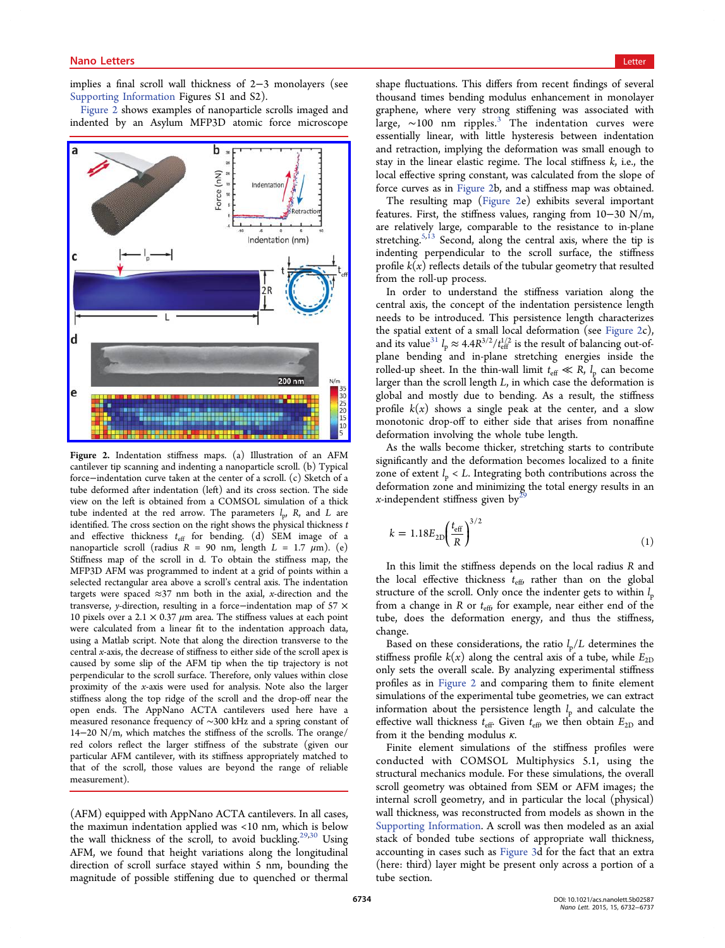### <span id="page-4-0"></span>nano Letters and the control of the control of the control of the control of the control of the control of the<br>Letters and the control of the control of the control of the control of the control of the control of the contr

implies a final scroll wall thickness of 2−3 monolayers (see [Supporting Information](http://pubs.acs.org/doi/suppl/10.1021/acs.nanolett.5b02587/suppl_file/nl5b02587_si_001.pdf) Figures S1 and S2).

Figure 2 shows examples of nanoparticle scrolls imaged and indented by an Asylum MFP3D atomic force microscope



Figure 2. Indentation stiffness maps. (a) Illustration of an AFM cantilever tip scanning and indenting a nanoparticle scroll. (b) Typical force−indentation curve taken at the center of a scroll. (c) Sketch of a tube deformed after indentation (left) and its cross section. The side view on the left is obtained from a COMSOL simulation of a thick tube indented at the red arrow. The parameters  $l_p$ , R, and L are identified. The cross section on the right shows the physical thickness  $t$ and effective thickness  $t_{\text{eff}}$  for bending. (d) SEM image of a nanoparticle scroll (radius  $R = 90$  nm, length  $L = 1.7$   $\mu$ m). (e) Stiffness map of the scroll in d. To obtain the stiffness map, the MFP3D AFM was programmed to indent at a grid of points within a selected rectangular area above a scroll's central axis. The indentation targets were spaced  $\approx$ 37 nm both in the axial, x-direction and the transverse, y-direction, resulting in a force−indentation map of 57 × 10 pixels over a 2.1  $\times$  0.37  $\mu$ m area. The stiffness values at each point were calculated from a linear fit to the indentation approach data, using a Matlab script. Note that along the direction transverse to the central x-axis, the decrease of stiffness to either side of the scroll apex is caused by some slip of the AFM tip when the tip trajectory is not perpendicular to the scroll surface. Therefore, only values within close proximity of the x-axis were used for analysis. Note also the larger stiffness along the top ridge of the scroll and the drop-off near the open ends. The AppNano ACTA cantilevers used here have a measured resonance frequency of ∼300 kHz and a spring constant of 14−20 N/m, which matches the stiffness of the scrolls. The orange/ red colors reflect the larger stiffness of the substrate (given our particular AFM cantilever, with its stiffness appropriately matched to that of the scroll, those values are beyond the range of reliable measurement).

(AFM) equipped with AppNano ACTA cantilevers. In all cases, the maximun indentation applied was <10 nm, which is below the wall thickness of the scroll, to avoid buckling.<sup>[29,30](#page-7-0)</sup> Using AFM, we found that height variations along the longitudinal direction of scroll surface stayed within 5 nm, bounding the magnitude of possible stiffening due to quenched or thermal

shape fluctuations. This differs from recent findings of several thousand times bending modulus enhancement in monolayer graphene, where very strong stiffening was associated with large,  $\sim$ 100 nm ripples.<sup>[3](#page-7-0)</sup> The indentation curves were essentially linear, with little hysteresis between indentation and retraction, implying the deformation was small enough to stay in the linear elastic regime. The local stiffness  $k$ , i.e., the local effective spring constant, was calculated from the slope of force curves as in Figure 2b, and a stiffness map was obtained.

The resulting map (Figure 2e) exhibits several important features. First, the stiffness values, ranging from 10−30 N/m, are relatively large, comparable to the resistance to in-plane stretching.<sup>[5](#page-7-0),[13](#page-7-0)</sup> Second, along the central axis, where the tip is indenting perpendicular to the scroll surface, the stiffness profile  $k(x)$  reflects details of the tubular geometry that resulted from the roll-up process.

In order to understand the stiffness variation along the central axis, the concept of the indentation persistence length needs to be introduced. This persistence length characterizes the spatial extent of a small local deformation (see Figure 2c), and its value<sup>[31](#page-7-0)</sup>  $l_p \approx 4.4 R^{3/2} / t_{\text{eff}}^{1/2}$  is the result of balancing out-ofplane bending and in-plane stretching energies inside the rolled-up sheet. In the thin-wall limit  $t_{\text{eff}} \ll R$ ,  $l_p$  can become larger than the scroll length  $L$ , in which case the deformation is global and mostly due to bending. As a result, the stiffness profile  $k(x)$  shows a single peak at the center, and a slow monotonic drop-off to either side that arises from nonaffine deformation involving the whole tube length.

As the walls become thicker, stretching starts to contribute significantly and the deformation becomes localized to a finite zone of extent  $l_p < L$ . Integrating both contributions across the deformation zone and minimizing the total energy results in an x-independent stiffness given by<sup>[29](#page-7-0)</sup>

$$
k = 1.18E_{2D} \left(\frac{t_{\rm eff}}{R}\right)^{3/2} \tag{1}
$$

In this limit the stiffness depends on the local radius R and the local effective thickness  $t_{\text{eff}}$ , rather than on the global structure of the scroll. Only once the indenter gets to within  $l_p$ from a change in R or  $t_{\text{eff}}$  for example, near either end of the tube, does the deformation energy, and thus the stiffness, change.

Based on these considerations, the ratio  $l_{\rm p}/L$  determines the stiffness profile  $k(x)$  along the central axis of a tube, while  $E_{2D}$ only sets the overall scale. By analyzing experimental stiffness profiles as in Figure 2 and comparing them to finite element simulations of the experimental tube geometries, we can extract information about the persistence length  $l_p$  and calculate the effective wall thickness  $t_{\text{eff}}$ . Given  $t_{\text{eff}}$  we then obtain  $E_{2D}$  and from it the bending modulus  $\kappa$ .

Finite element simulations of the stiffness profiles were conducted with COMSOL Multiphysics 5.1, using the structural mechanics module. For these simulations, the overall scroll geometry was obtained from SEM or AFM images; the internal scroll geometry, and in particular the local (physical) wall thickness, was reconstructed from models as shown in the [Supporting Information](http://pubs.acs.org/doi/suppl/10.1021/acs.nanolett.5b02587/suppl_file/nl5b02587_si_001.pdf). A scroll was then modeled as an axial stack of bonded tube sections of appropriate wall thickness, accounting in cases such as [Figure 3](#page-5-0)d for the fact that an extra (here: third) layer might be present only across a portion of a tube section.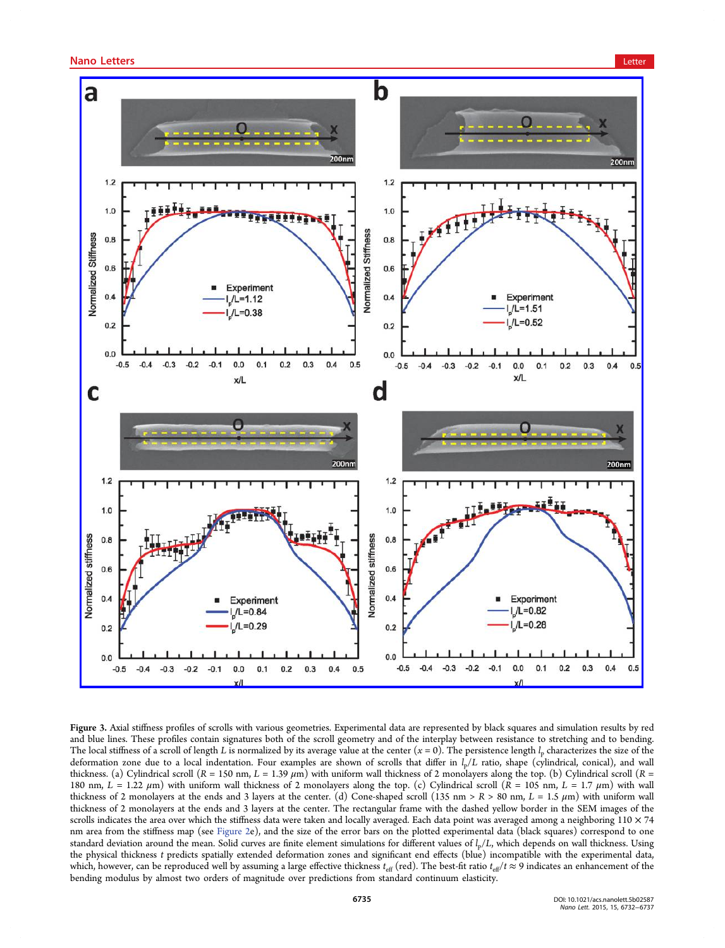<span id="page-5-0"></span>

Figure 3. Axial stiffness profiles of scrolls with various geometries. Experimental data are represented by black squares and simulation results by red and blue lines. These profiles contain signatures both of the scroll geometry and of the interplay between resistance to stretching and to bending. The local stiffness of a scroll of length L is normalized by its average value at the center  $(x = 0)$ . The persistence length  $l_p$  characterizes the size of the deformation zone due to a local indentation. Four examples are shown of scrolls that differ in  $l_p/L$  ratio, shape (cylindrical, conical), and wall thickness. (a) Cylindrical scroll ( $R = 150$  nm,  $L = 1.39$   $\mu$ m) with uniform wall thickness of 2 monolayers along the top. (b) Cylindrical scroll ( $R =$ 180 nm,  $L = 1.22 \mu m$ ) with uniform wall thickness of 2 monolayers along the top. (c) Cylindrical scroll  $(R = 105 \text{ nm}, L = 1.7 \mu m)$  with wall thickness of 2 monolayers at the ends and 3 layers at the center. (d) Cone-shaped scroll (135 nm > R > 80 nm, L = 1.5  $\mu$ m) with uniform wall thickness of 2 monolayers at the ends and 3 layers at the center. The rectangular frame with the dashed yellow border in the SEM images of the scrolls indicates the area over which the stiffness data were taken and locally averaged. Each data point was averaged among a neighboring  $110 \times 74$ nm area from the stiffness map (see [Figure 2e](#page-4-0)), and the size of the error bars on the plotted experimental data (black squares) correspond to one standard deviation around the mean. Solid curves are finite element simulations for different values of  $l_p/L$ , which depends on wall thickness. Using the physical thickness t predicts spatially extended deformation zones and significant end effects (blue) incompatible with the experimental data, which, however, can be reproduced well by assuming a large effective thickness  $t_{\text{eff}}$  (red). The best-fit ratio  $t_{\text{eff}}/t \approx 9$  indicates an enhancement of the bending modulus by almost two orders of magnitude over predictions from standard continuum elasticity.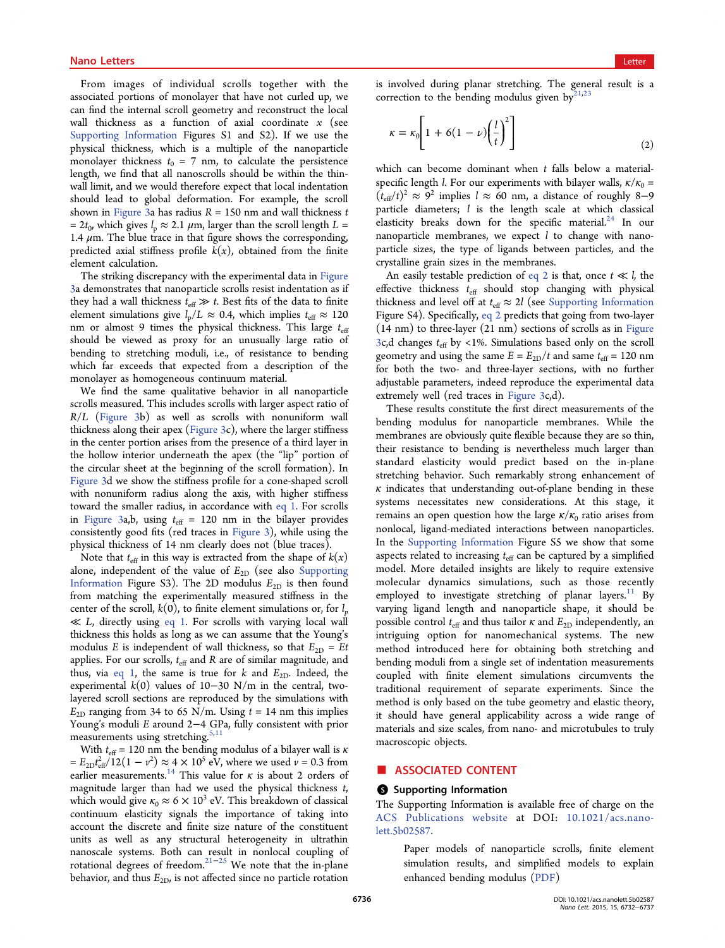<span id="page-6-0"></span>From images of individual scrolls together with the associated portions of monolayer that have not curled up, we can find the internal scroll geometry and reconstruct the local wall thickness as a function of axial coordinate  $x$  (see [Supporting Information](http://pubs.acs.org/doi/suppl/10.1021/acs.nanolett.5b02587/suppl_file/nl5b02587_si_001.pdf) Figures S1 and S2). If we use the physical thickness, which is a multiple of the nanoparticle monolayer thickness  $t_0$  = 7 nm, to calculate the persistence length, we find that all nanoscrolls should be within the thinwall limit, and we would therefore expect that local indentation should lead to global deformation. For example, the scroll shown in [Figure 3a](#page-5-0) has radius  $R = 150$  nm and wall thickness  $t$ =  $2t_0$ , which gives  $l_p \approx 2.1 \mu m$ , larger than the scroll length  $L =$ 1.4  $\mu$ m. The blue trace in that figure shows the corresponding, predicted axial stiffness profile  $k(x)$ , obtained from the finite element calculation.

The striking discrepancy with the experimental data in [Figure](#page-5-0) [3](#page-5-0)a demonstrates that nanoparticle scrolls resist indentation as if they had a wall thickness  $t_{\text{eff}} \gg t$ . Best fits of the data to finite element simulations give  $l_p/L \approx 0.4$ , which implies  $t_{\text{eff}} \approx 120$ nm or almost 9 times the physical thickness. This large  $t_{\text{eff}}$ should be viewed as proxy for an unusually large ratio of bending to stretching moduli, i.e., of resistance to bending which far exceeds that expected from a description of the monolayer as homogeneous continuum material.

We find the same qualitative behavior in all nanoparticle scrolls measured. This includes scrolls with larger aspect ratio of R/L ([Figure 3b](#page-5-0)) as well as scrolls with nonuniform wall thickness along their apex ([Figure 3](#page-5-0)c), where the larger stiffness in the center portion arises from the presence of a third layer in the hollow interior underneath the apex (the "lip" portion of the circular sheet at the beginning of the scroll formation). In [Figure 3](#page-5-0)d we show the stiffness profile for a cone-shaped scroll with nonuniform radius along the axis, with higher stiffness toward the smaller radius, in accordance with [eq 1](#page-4-0). For scrolls in [Figure 3](#page-5-0)a,b, using  $t_{\text{eff}} = 120$  nm in the bilayer provides consistently good fits (red traces in [Figure 3\)](#page-5-0), while using the physical thickness of 14 nm clearly does not (blue traces).

Note that  $t_{\text{eff}}$  in this way is extracted from the shape of  $k(x)$ alone, independent of the value of  $E_{2D}$  (see also [Supporting](http://pubs.acs.org/doi/suppl/10.1021/acs.nanolett.5b02587/suppl_file/nl5b02587_si_001.pdf) [Information](http://pubs.acs.org/doi/suppl/10.1021/acs.nanolett.5b02587/suppl_file/nl5b02587_si_001.pdf) Figure S3). The 2D modulus  $E_{2D}$  is then found from matching the experimentally measured stiffness in the center of the scroll,  $k(0)$ , to finite element simulations or, for  $l_n$  $\ll L$ , directly using [eq 1](#page-4-0). For scrolls with varying local wall thickness this holds as long as we can assume that the Young's modulus E is independent of wall thickness, so that  $E_{2D} = Et$ applies. For our scrolls,  $t_{\text{eff}}$  and R are of similar magnitude, and thus, via [eq 1](#page-4-0), the same is true for k and  $E_{2D}$ . Indeed, the experimental  $k(0)$  values of 10−30 N/m in the central, twolayered scroll sections are reproduced by the simulations with  $E_{2D}$  ranging from 34 to 65 N/m. Using  $t = 14$  nm this implies Young's moduli E around 2−4 GPa, fully consistent with prior measurements using stretching.<sup>[5,11](#page-7-0)</sup>

With  $t_{\text{eff}}$  = 120 nm the bending modulus of a bilayer wall is  $\kappa$  $= E_{2D} t_{\text{eff}}^2 / 12(1 - v^2) \approx 4 \times 10^5 \text{ eV}$ , where we used  $v = 0.3$  from earlier measurements.<sup>[14](#page-7-0)</sup> This value for  $\kappa$  is about 2 orders of magnitude larger than had we used the physical thickness t, which would give  $\kappa_0 \approx 6 \times 10^3$  eV. This breakdown of classical continuum elasticity signals the importance of taking into account the discrete and finite size nature of the constituent units as well as any structural heterogeneity in ultrathin nanoscale systems. Both can result in nonlocal coupling of rotational degrees of freedom.[21](#page-7-0)−[25](#page-7-0) We note that the in-plane behavior, and thus  $E_{2D}$ , is not affected since no particle rotation

is involved during planar stretching. The general result is a correction to the bending modulus given  $by^{21,23}$  $by^{21,23}$  $by^{21,23}$ 

$$
\kappa = \kappa_0 \left[ 1 + 6(1 - \nu) \left( \frac{l}{t} \right)^2 \right] \tag{2}
$$

which can become dominant when  $t$  falls below a materialspecific length *l*. For our experiments with bilayer walls,  $\kappa/\kappa_0 =$  $(t_{\text{eff}}/t)^2 \approx 9^2$  implies  $l \approx 60$  nm, a distance of roughly 8–9 particle diameters;  $l$  is the length scale at which classical elasticity breaks down for the specific material.<sup>[24](#page-7-0)</sup> In our nanoparticle membranes, we expect  $l$  to change with nanoparticle sizes, the type of ligands between particles, and the crystalline grain sizes in the membranes.

An easily testable prediction of eq 2 is that, once  $t \ll l$ , the effective thickness  $t_{\text{eff}}$  should stop changing with physical thickness and level off at  $t_{\text{eff}} \approx 2l$  (see [Supporting Information](http://pubs.acs.org/doi/suppl/10.1021/acs.nanolett.5b02587/suppl_file/nl5b02587_si_001.pdf) Figure S4). Specifically, eq 2 predicts that going from two-layer (14 nm) to three-layer (21 nm) sections of scrolls as in [Figure](#page-5-0) [3](#page-5-0)c,d changes  $t_{\text{eff}}$  by <1%. Simulations based only on the scroll geometry and using the same  $E = E_{2D}/t$  and same  $t_{\text{eff}} = 120$  nm for both the two- and three-layer sections, with no further adjustable parameters, indeed reproduce the experimental data extremely well (red traces in [Figure 3](#page-5-0)c,d).

These results constitute the first direct measurements of the bending modulus for nanoparticle membranes. While the membranes are obviously quite flexible because they are so thin, their resistance to bending is nevertheless much larger than standard elasticity would predict based on the in-plane stretching behavior. Such remarkably strong enhancement of  $\kappa$  indicates that understanding out-of-plane bending in these systems necessitates new considerations. At this stage, it remains an open question how the large  $\kappa/\kappa_0$  ratio arises from nonlocal, ligand-mediated interactions between nanoparticles. In the [Supporting Information](http://pubs.acs.org/doi/suppl/10.1021/acs.nanolett.5b02587/suppl_file/nl5b02587_si_001.pdf) Figure S5 we show that some aspects related to increasing  $t_{\text{eff}}$  can be captured by a simplified model. More detailed insights are likely to require extensive molecular dynamics simulations, such as those recently employed to investigate stretching of planar layers. $11$  By varying ligand length and nanoparticle shape, it should be possible control  $t_{\text{eff}}$  and thus tailor  $\kappa$  and  $E_{2D}$  independently, an intriguing option for nanomechanical systems. The new method introduced here for obtaining both stretching and bending moduli from a single set of indentation measurements coupled with finite element simulations circumvents the traditional requirement of separate experiments. Since the method is only based on the tube geometry and elastic theory, it should have general applicability across a wide range of materials and size scales, from nano- and microtubules to truly macroscopic objects.

### ■ ASSOCIATED CONTENT

### **S** Supporting Information

The Supporting Information is available free of charge on the [ACS Publications website](http://pubs.acs.org) at DOI: [10.1021/acs.nano](http://pubs.acs.org/doi/abs/10.1021/acs.nanolett.5b02587)[lett.5b02587.](http://pubs.acs.org/doi/abs/10.1021/acs.nanolett.5b02587)

> Paper models of nanoparticle scrolls, finite element simulation results, and simplified models to explain enhanced bending modulus ([PDF](http://pubs.acs.org/doi/suppl/10.1021/acs.nanolett.5b02587/suppl_file/nl5b02587_si_001.pdf))